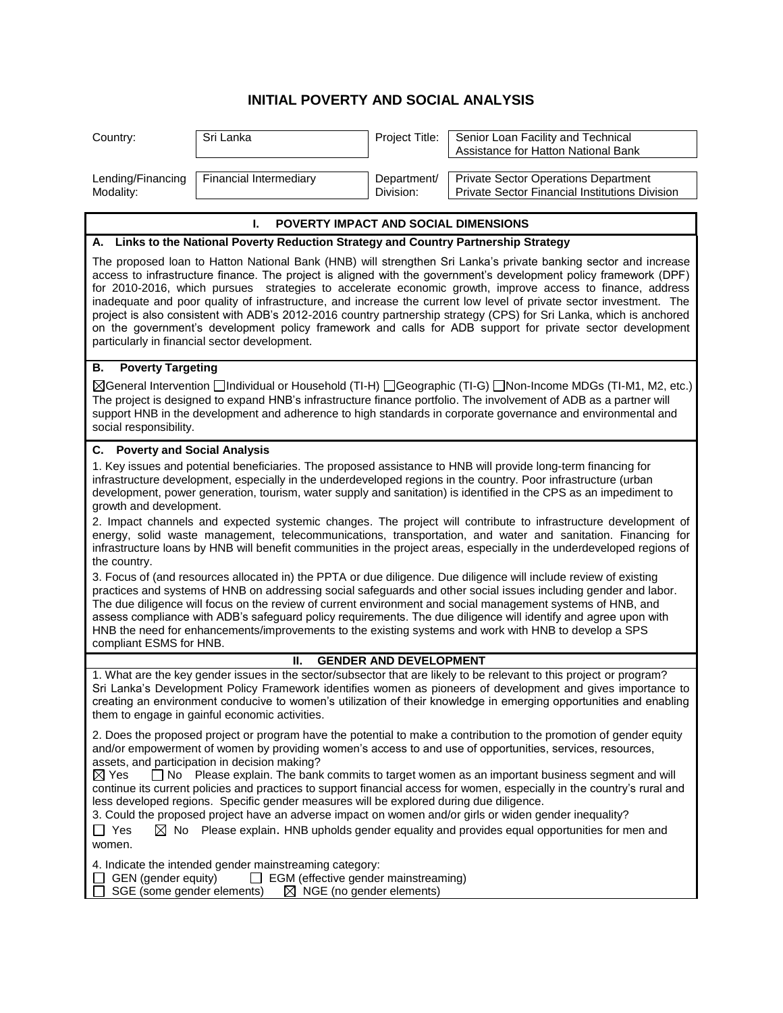## **INITIAL POVERTY AND SOCIAL ANALYSIS**

| Country:                                                                                                                                                                                                                                                                                                                                                                                                                                                                                                                                                                                                                                                                                                                                                                                                                                                                                                                                                                                                                                                                                                                                                                                                                                                                                                                                                                    | Sri Lanka              | Project Title:           | Senior Loan Facility and Technical<br>Assistance for Hatton National Bank                     |
|-----------------------------------------------------------------------------------------------------------------------------------------------------------------------------------------------------------------------------------------------------------------------------------------------------------------------------------------------------------------------------------------------------------------------------------------------------------------------------------------------------------------------------------------------------------------------------------------------------------------------------------------------------------------------------------------------------------------------------------------------------------------------------------------------------------------------------------------------------------------------------------------------------------------------------------------------------------------------------------------------------------------------------------------------------------------------------------------------------------------------------------------------------------------------------------------------------------------------------------------------------------------------------------------------------------------------------------------------------------------------------|------------------------|--------------------------|-----------------------------------------------------------------------------------------------|
| Lending/Financing<br>Modality:                                                                                                                                                                                                                                                                                                                                                                                                                                                                                                                                                                                                                                                                                                                                                                                                                                                                                                                                                                                                                                                                                                                                                                                                                                                                                                                                              | Financial Intermediary | Department/<br>Division: | <b>Private Sector Operations Department</b><br>Private Sector Financial Institutions Division |
| <b>POVERTY IMPACT AND SOCIAL DIMENSIONS</b><br>I.                                                                                                                                                                                                                                                                                                                                                                                                                                                                                                                                                                                                                                                                                                                                                                                                                                                                                                                                                                                                                                                                                                                                                                                                                                                                                                                           |                        |                          |                                                                                               |
| A. Links to the National Poverty Reduction Strategy and Country Partnership Strategy                                                                                                                                                                                                                                                                                                                                                                                                                                                                                                                                                                                                                                                                                                                                                                                                                                                                                                                                                                                                                                                                                                                                                                                                                                                                                        |                        |                          |                                                                                               |
| The proposed loan to Hatton National Bank (HNB) will strengthen Sri Lanka's private banking sector and increase<br>access to infrastructure finance. The project is aligned with the government's development policy framework (DPF)<br>for 2010-2016, which pursues strategies to accelerate economic growth, improve access to finance, address<br>inadequate and poor quality of infrastructure, and increase the current low level of private sector investment. The<br>project is also consistent with ADB's 2012-2016 country partnership strategy (CPS) for Sri Lanka, which is anchored<br>on the government's development policy framework and calls for ADB support for private sector development<br>particularly in financial sector development.                                                                                                                                                                                                                                                                                                                                                                                                                                                                                                                                                                                                               |                        |                          |                                                                                               |
| <b>Poverty Targeting</b><br>В.                                                                                                                                                                                                                                                                                                                                                                                                                                                                                                                                                                                                                                                                                                                                                                                                                                                                                                                                                                                                                                                                                                                                                                                                                                                                                                                                              |                        |                          |                                                                                               |
| ⊠General Intervention □Individual or Household (TI-H) □Geographic (TI-G) □Non-Income MDGs (TI-M1, M2, etc.)<br>The project is designed to expand HNB's infrastructure finance portfolio. The involvement of ADB as a partner will<br>support HNB in the development and adherence to high standards in corporate governance and environmental and<br>social responsibility.                                                                                                                                                                                                                                                                                                                                                                                                                                                                                                                                                                                                                                                                                                                                                                                                                                                                                                                                                                                                 |                        |                          |                                                                                               |
| <b>C.</b> Poverty and Social Analysis                                                                                                                                                                                                                                                                                                                                                                                                                                                                                                                                                                                                                                                                                                                                                                                                                                                                                                                                                                                                                                                                                                                                                                                                                                                                                                                                       |                        |                          |                                                                                               |
| 1. Key issues and potential beneficiaries. The proposed assistance to HNB will provide long-term financing for<br>infrastructure development, especially in the underdeveloped regions in the country. Poor infrastructure (urban<br>development, power generation, tourism, water supply and sanitation) is identified in the CPS as an impediment to<br>growth and development.<br>2. Impact channels and expected systemic changes. The project will contribute to infrastructure development of<br>energy, solid waste management, telecommunications, transportation, and water and sanitation. Financing for<br>infrastructure loans by HNB will benefit communities in the project areas, especially in the underdeveloped regions of<br>the country.<br>3. Focus of (and resources allocated in) the PPTA or due diligence. Due diligence will include review of existing<br>practices and systems of HNB on addressing social safeguards and other social issues including gender and labor.<br>The due diligence will focus on the review of current environment and social management systems of HNB, and<br>assess compliance with ADB's safeguard policy requirements. The due diligence will identify and agree upon with<br>HNB the need for enhancements/improvements to the existing systems and work with HNB to develop a SPS<br>compliant ESMS for HNB. |                        |                          |                                                                                               |
| <b>GENDER AND DEVELOPMENT</b><br>Ш.                                                                                                                                                                                                                                                                                                                                                                                                                                                                                                                                                                                                                                                                                                                                                                                                                                                                                                                                                                                                                                                                                                                                                                                                                                                                                                                                         |                        |                          |                                                                                               |
| 1. What are the key gender issues in the sector/subsector that are likely to be relevant to this project or program?<br>Sri Lanka's Development Policy Framework identifies women as pioneers of development and gives importance to<br>creating an environment conducive to women's utilization of their knowledge in emerging opportunities and enabling<br>them to engage in gainful economic activities.                                                                                                                                                                                                                                                                                                                                                                                                                                                                                                                                                                                                                                                                                                                                                                                                                                                                                                                                                                |                        |                          |                                                                                               |
| 2. Does the proposed project or program have the potential to make a contribution to the promotion of gender equity<br>and/or empowerment of women by providing women's access to and use of opportunities, services, resources,<br>assets, and participation in decision making?<br>$\boxtimes$ Yes<br>$\Box$ No Please explain. The bank commits to target women as an important business segment and will<br>continue its current policies and practices to support financial access for women, especially in the country's rural and<br>less developed regions. Specific gender measures will be explored during due diligence.<br>3. Could the proposed project have an adverse impact on women and/or girls or widen gender inequality?<br>$\Box$ Yes<br>$\boxtimes$ No Please explain. HNB upholds gender equality and provides equal opportunities for men and<br>women.                                                                                                                                                                                                                                                                                                                                                                                                                                                                                            |                        |                          |                                                                                               |
| 4. Indicate the intended gender mainstreaming category:<br>GEN (gender equity)<br>$\Box$ EGM (effective gender mainstreaming)<br>SGE (some gender elements)<br>$\boxtimes$ NGE (no gender elements)                                                                                                                                                                                                                                                                                                                                                                                                                                                                                                                                                                                                                                                                                                                                                                                                                                                                                                                                                                                                                                                                                                                                                                         |                        |                          |                                                                                               |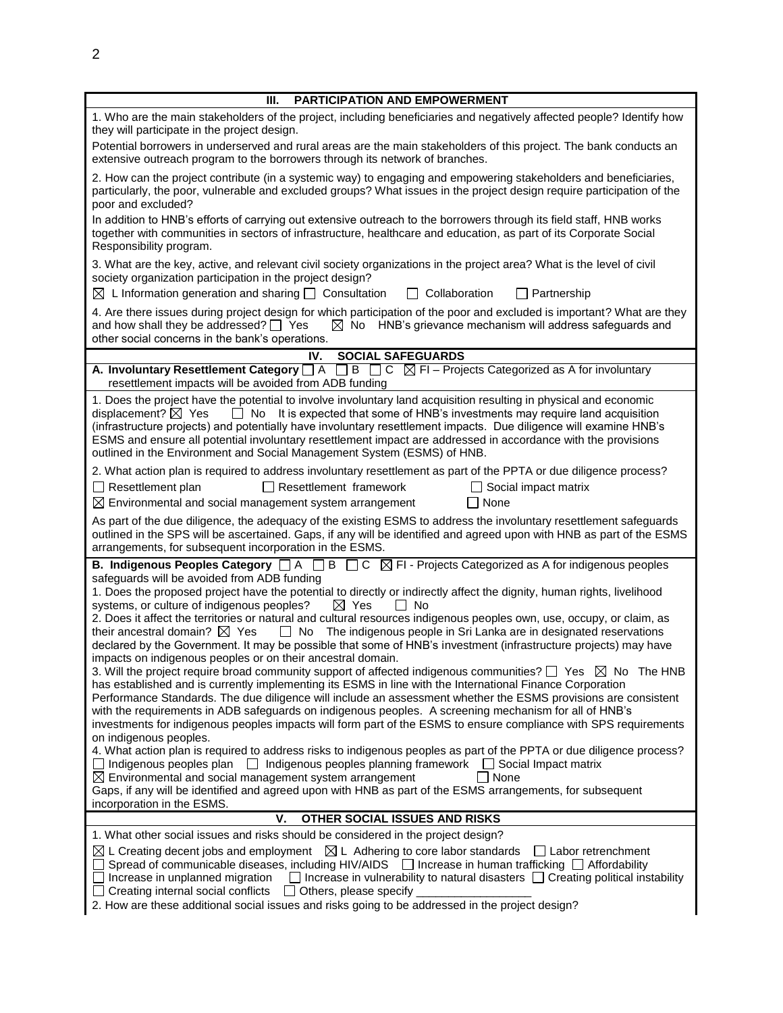| PARTICIPATION AND EMPOWERMENT<br>Ш.                                                                                                                                                                                                                                                                                                                                                                                                                                                                                                                                                                                                                                                                                                                                                                                                                                                                                                                                                                                                                                                                                                                                                                                                                                                                                                                                                                                                                                                                                                                               |  |  |  |
|-------------------------------------------------------------------------------------------------------------------------------------------------------------------------------------------------------------------------------------------------------------------------------------------------------------------------------------------------------------------------------------------------------------------------------------------------------------------------------------------------------------------------------------------------------------------------------------------------------------------------------------------------------------------------------------------------------------------------------------------------------------------------------------------------------------------------------------------------------------------------------------------------------------------------------------------------------------------------------------------------------------------------------------------------------------------------------------------------------------------------------------------------------------------------------------------------------------------------------------------------------------------------------------------------------------------------------------------------------------------------------------------------------------------------------------------------------------------------------------------------------------------------------------------------------------------|--|--|--|
| 1. Who are the main stakeholders of the project, including beneficiaries and negatively affected people? Identify how<br>they will participate in the project design.                                                                                                                                                                                                                                                                                                                                                                                                                                                                                                                                                                                                                                                                                                                                                                                                                                                                                                                                                                                                                                                                                                                                                                                                                                                                                                                                                                                             |  |  |  |
| Potential borrowers in underserved and rural areas are the main stakeholders of this project. The bank conducts an<br>extensive outreach program to the borrowers through its network of branches.                                                                                                                                                                                                                                                                                                                                                                                                                                                                                                                                                                                                                                                                                                                                                                                                                                                                                                                                                                                                                                                                                                                                                                                                                                                                                                                                                                |  |  |  |
| 2. How can the project contribute (in a systemic way) to engaging and empowering stakeholders and beneficiaries,<br>particularly, the poor, vulnerable and excluded groups? What issues in the project design require participation of the<br>poor and excluded?                                                                                                                                                                                                                                                                                                                                                                                                                                                                                                                                                                                                                                                                                                                                                                                                                                                                                                                                                                                                                                                                                                                                                                                                                                                                                                  |  |  |  |
| In addition to HNB's efforts of carrying out extensive outreach to the borrowers through its field staff, HNB works<br>together with communities in sectors of infrastructure, healthcare and education, as part of its Corporate Social<br>Responsibility program.                                                                                                                                                                                                                                                                                                                                                                                                                                                                                                                                                                                                                                                                                                                                                                                                                                                                                                                                                                                                                                                                                                                                                                                                                                                                                               |  |  |  |
| 3. What are the key, active, and relevant civil society organizations in the project area? What is the level of civil<br>society organization participation in the project design?<br>$\boxtimes$ L Information generation and sharing $\Box$ Consultation<br>$\Box$ Collaboration<br>$\Box$ Partnership                                                                                                                                                                                                                                                                                                                                                                                                                                                                                                                                                                                                                                                                                                                                                                                                                                                                                                                                                                                                                                                                                                                                                                                                                                                          |  |  |  |
| 4. Are there issues during project design for which participation of the poor and excluded is important? What are they<br>and how shall they be addressed? $\Box$ Yes<br>$\boxtimes$ No HNB's grievance mechanism will address safeguards and<br>other social concerns in the bank's operations.                                                                                                                                                                                                                                                                                                                                                                                                                                                                                                                                                                                                                                                                                                                                                                                                                                                                                                                                                                                                                                                                                                                                                                                                                                                                  |  |  |  |
| <b>SOCIAL SAFEGUARDS</b><br>IV.                                                                                                                                                                                                                                                                                                                                                                                                                                                                                                                                                                                                                                                                                                                                                                                                                                                                                                                                                                                                                                                                                                                                                                                                                                                                                                                                                                                                                                                                                                                                   |  |  |  |
| A. Involuntary Resettlement Category $\Box A$ $\Box B$ $\Box C$ $\boxtimes F1$ – Projects Categorized as A for involuntary<br>resettlement impacts will be avoided from ADB funding                                                                                                                                                                                                                                                                                                                                                                                                                                                                                                                                                                                                                                                                                                                                                                                                                                                                                                                                                                                                                                                                                                                                                                                                                                                                                                                                                                               |  |  |  |
| 1. Does the project have the potential to involve involuntary land acquisition resulting in physical and economic<br>$\Box$ No It is expected that some of HNB's investments may require land acquisition<br>displacement? $\boxtimes$ Yes<br>(infrastructure projects) and potentially have involuntary resettlement impacts. Due diligence will examine HNB's<br>ESMS and ensure all potential involuntary resettlement impact are addressed in accordance with the provisions<br>outlined in the Environment and Social Management System (ESMS) of HNB.                                                                                                                                                                                                                                                                                                                                                                                                                                                                                                                                                                                                                                                                                                                                                                                                                                                                                                                                                                                                       |  |  |  |
| 2. What action plan is required to address involuntary resettlement as part of the PPTA or due diligence process?<br>$\Box$ Resettlement plan<br>$\Box$ Resettlement framework<br>$\Box$ Social impact matrix<br>$\boxtimes$ Environmental and social management system arrangement<br>$\Box$ None                                                                                                                                                                                                                                                                                                                                                                                                                                                                                                                                                                                                                                                                                                                                                                                                                                                                                                                                                                                                                                                                                                                                                                                                                                                                |  |  |  |
| As part of the due diligence, the adequacy of the existing ESMS to address the involuntary resettlement safeguards<br>outlined in the SPS will be ascertained. Gaps, if any will be identified and agreed upon with HNB as part of the ESMS<br>arrangements, for subsequent incorporation in the ESMS.                                                                                                                                                                                                                                                                                                                                                                                                                                                                                                                                                                                                                                                                                                                                                                                                                                                                                                                                                                                                                                                                                                                                                                                                                                                            |  |  |  |
| <b>B.</b> Indigenous Peoples Category $\Box A$ $\Box B$ $\Box C$ $\boxtimes F$ - Projects Categorized as A for indigenous peoples<br>safeguards will be avoided from ADB funding<br>1. Does the proposed project have the potential to directly or indirectly affect the dignity, human rights, livelihood<br>systems, or culture of indigenous peoples?<br>$\boxtimes$ Yes<br>No<br>2. Does it affect the territories or natural and cultural resources indigenous peoples own, use, occupy, or claim, as<br>$\Box$ No The indigenous people in Sri Lanka are in designated reservations<br>their ancestral domain? $\boxtimes$ Yes<br>declared by the Government. It may be possible that some of HNB's investment (infrastructure projects) may have<br>impacts on indigenous peoples or on their ancestral domain.<br>3. Will the project require broad community support of affected indigenous communities? $\Box$ Yes $\boxtimes$ No The HNB<br>has established and is currently implementing its ESMS in line with the International Finance Corporation<br>Performance Standards. The due diligence will include an assessment whether the ESMS provisions are consistent<br>with the requirements in ADB safeguards on indigenous peoples. A screening mechanism for all of HNB's<br>investments for indigenous peoples impacts will form part of the ESMS to ensure compliance with SPS requirements<br>on indigenous peoples.<br>4. What action plan is required to address risks to indigenous peoples as part of the PPTA or due diligence process? |  |  |  |
| $\Box$ Indigenous peoples plan $\Box$ Indigenous peoples planning framework $\Box$ Social Impact matrix<br>$\square$ None<br>$\boxtimes$ Environmental and social management system arrangement<br>Gaps, if any will be identified and agreed upon with HNB as part of the ESMS arrangements, for subsequent<br>incorporation in the ESMS.                                                                                                                                                                                                                                                                                                                                                                                                                                                                                                                                                                                                                                                                                                                                                                                                                                                                                                                                                                                                                                                                                                                                                                                                                        |  |  |  |
| v.<br>OTHER SOCIAL ISSUES AND RISKS                                                                                                                                                                                                                                                                                                                                                                                                                                                                                                                                                                                                                                                                                                                                                                                                                                                                                                                                                                                                                                                                                                                                                                                                                                                                                                                                                                                                                                                                                                                               |  |  |  |
| 1. What other social issues and risks should be considered in the project design?                                                                                                                                                                                                                                                                                                                                                                                                                                                                                                                                                                                                                                                                                                                                                                                                                                                                                                                                                                                                                                                                                                                                                                                                                                                                                                                                                                                                                                                                                 |  |  |  |
| $\boxtimes$ L Creating decent jobs and employment $\boxtimes$ L Adhering to core labor standards<br>$\Box$ Labor retrenchment<br>Spread of communicable diseases, including HIV/AIDS $\Box$ Increase in human trafficking $\Box$ Affordability<br>Increase in unplanned migration $\Box$ Increase in vulnerability to natural disasters $\Box$ Creating political instability<br>Creating internal social conflicts<br>$\Box$ Others, please specify<br>2. How are these additional social issues and risks going to be addressed in the project design?                                                                                                                                                                                                                                                                                                                                                                                                                                                                                                                                                                                                                                                                                                                                                                                                                                                                                                                                                                                                          |  |  |  |
|                                                                                                                                                                                                                                                                                                                                                                                                                                                                                                                                                                                                                                                                                                                                                                                                                                                                                                                                                                                                                                                                                                                                                                                                                                                                                                                                                                                                                                                                                                                                                                   |  |  |  |